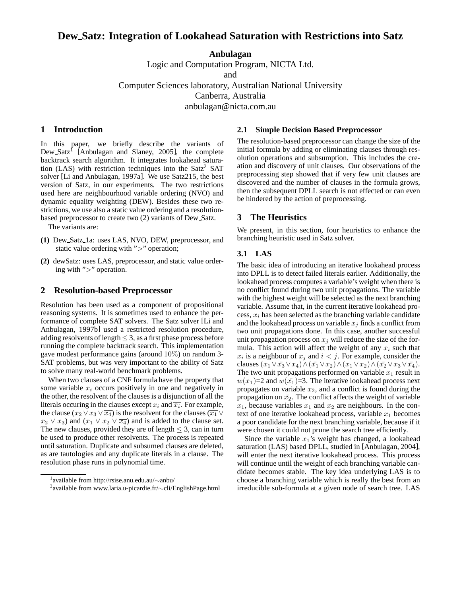# **Dew Satz: Integration of Lookahead Saturation with Restrictions into Satz**

**Anbulagan** Logic and Computation Program, NICTA Ltd. and Computer Sciences laboratory, Australian National University Canberra, Australia anbulagan@nicta.com.au

## **1 Introduction**

In this paper, we briefly describe the variants of Dew Satz<sup>I</sup> [Anbulagan and Slaney, 2005], the complete backtrack search algorithm. It integrates lookahead saturation (LAS) with restriction techniques into the  $Satz<sup>2</sup> SAT$ solver [Li and Anbulagan, 1997a]. We use Satz215, the best version of Satz, in our experiments. The two restrictions used here are neighbourhood variable ordering (NVO) and dynamic equality weighting (DEW). Besides these two restrictions, we use also a static value ordering and a resolutionbased preprocessor to create two (2) variants of Dew Satz.

The variants are:

- **(1)** Dew Satz 1a: uses LAS, NVO, DEW, preprocessor, and static value ordering with ">" operation;
- **(2)** dewSatz: uses LAS, preprocessor, and static value ordering with ">" operation.

#### **2 Resolution-based Preprocessor**

Resolution has been used as a component of propositional reasoning systems. It is sometimes used to enhance the performance of complete SAT solvers. The Satz solver [Li and Anbulagan, 1997b] used a restricted resolution procedure, adding resolvents of length  $\leq$  3, as a first phase process before running the complete backtrack search. This implementation gave modest performance gains (around 10%) on random 3- SAT problems, but was very important to the ability of Satz to solve many real-world benchmark problems.

When two clauses of a CNF formula have the property that some variable  $x_i$  occurs positively in one and negatively in the other, the resolvent of the clauses is a disjunction of all the literals occuring in the clauses except  $x_i$  and  $\overline{x_i}$ . For example, the clause ( $x_2 \vee x_3 \vee \overline{x_4}$ ) is the resolvent for the clauses ( $\overline{x_1} \vee$  $x_2 \vee x_3$  and  $(x_1 \vee x_2 \vee \overline{x_4})$  and is added to the clause set. The new clauses, provided they are of length  $\leq$  3, can in turn be used to produce other resolvents. The process is repeated until saturation. Duplicate and subsumed clauses are deleted, as are tautologies and any duplicate literals in a clause. The resolution phase runs in polynomial time.

#### **2.1 Simple Decision Based Preprocessor**

The resolution-based preprocessor can change the size of the initial formula by adding or eliminating clauses through resolution operations and subsumption. This includes the creation and discovery of unit clauses. Our observations of the preprocessing step showed that if very few unit clauses are discovered and the number of clauses in the formula grows, then the subsequent DPLL search is not effected or can even be hindered by the action of preprocessing.

#### **3 The Heuristics**

We present, in this section, four heuristics to enhance the branching heuristic used in Satz solver.

#### **3.1 LAS**

The basic idea of introducing an iterative lookahead process into DPLL is to detect failed literals earlier. Additionally, the lookahead process computes a variable's weight when there is no conflict found during two unit propagations. The variable with the highest weight will be selected as the next branching variable. Assume that, in the current iterative lookahead process,  $x_i$  has been selected as the branching variable candidate and the lookahead process on variable  $x_j$  finds a conflict from two unit propagations done. In this case, another successful unit propagation process on  $x_i$  will reduce the size of the formula. This action will affect the weight of any  $x_i$  such that  $x_i$  is a neighbour of  $x_j$  and  $i < j$ . For example, consider the clauses  $(x_1 \vee \overline{x_3} \vee x_4) \wedge (\overline{x_1} \vee x_2) \wedge (x_1 \vee x_2) \wedge (\overline{x_2} \vee x_3 \vee \overline{x_4}).$ The two unit propagations performed on variable  $x_1$  result in  $w(x_1)=2$  and  $w(\bar{x_1})=3$ . The iterative lookahead process next propagates on variable  $x_2$ , and a conflict is found during the propagation on  $\bar{x_2}$ . The conflict affects the weight of variable  $x_1$ , because variables  $x_1$  and  $x_2$  are neighbours. In the context of one iterative lookahead process, variable  $x_1$  becomes a poor candidate for the next branching variable, because if it were chosen it could not prune the search tree efficiently.

Since the variable  $x_1$ 's weight has changed, a lookahead saturation (LAS) based DPLL, studied in [Anbulagan, 2004], will enter the next iterative lookahead process. This process will continue until the weight of each branching variable candidate becomes stable. The key idea underlying LAS is to choose a branching variable which is really the best from an irreducible sub-formula at a given node of search tree. LAS

<sup>1</sup> available from http://rsise.anu.edu.au/∼anbu/

<sup>2</sup> available from www.laria.u-picardie.fr/∼cli/EnglishPage.html